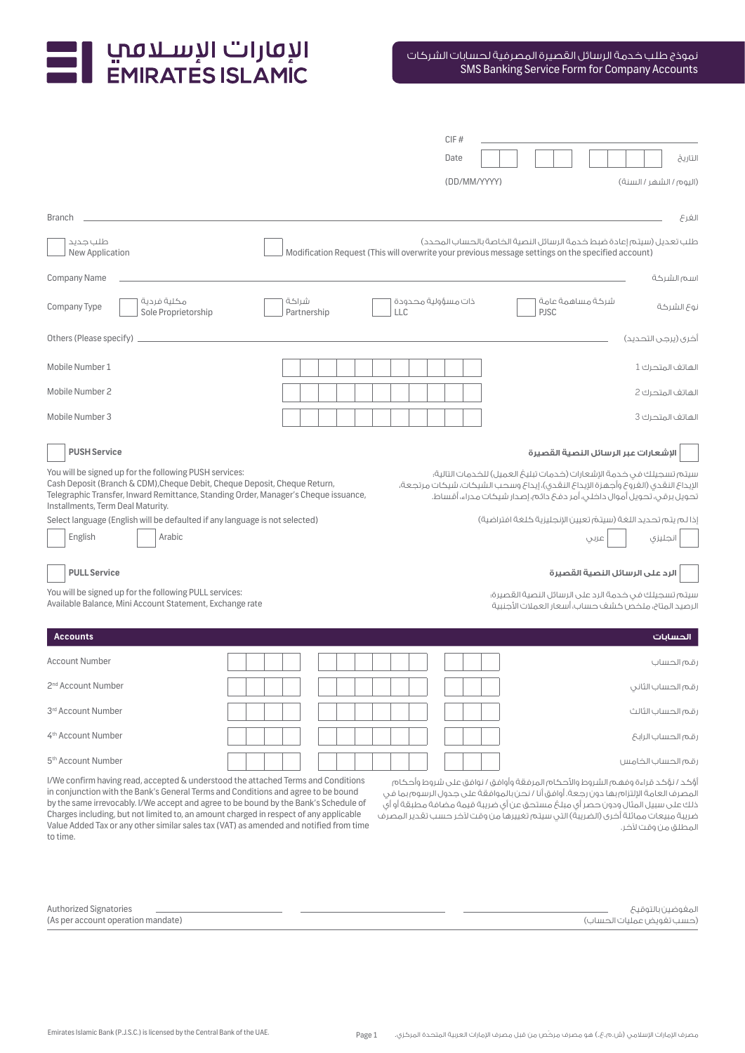# I الإقارات الإسـلامبي<br>EMIRATES ISLAMIC

|                                                                                                                                                                                                                                                                                                                                                                                                                                                                                                                                                                                                                                                                                                                                                                                                                                         |                      | CIF#                                                                                                         |                                                                                                                                                                            |  |  |  |  |  |  |  |  |  |
|-----------------------------------------------------------------------------------------------------------------------------------------------------------------------------------------------------------------------------------------------------------------------------------------------------------------------------------------------------------------------------------------------------------------------------------------------------------------------------------------------------------------------------------------------------------------------------------------------------------------------------------------------------------------------------------------------------------------------------------------------------------------------------------------------------------------------------------------|----------------------|--------------------------------------------------------------------------------------------------------------|----------------------------------------------------------------------------------------------------------------------------------------------------------------------------|--|--|--|--|--|--|--|--|--|
|                                                                                                                                                                                                                                                                                                                                                                                                                                                                                                                                                                                                                                                                                                                                                                                                                                         |                      | Date                                                                                                         | التاريخ                                                                                                                                                                    |  |  |  |  |  |  |  |  |  |
|                                                                                                                                                                                                                                                                                                                                                                                                                                                                                                                                                                                                                                                                                                                                                                                                                                         |                      | (DD/MM/YYYY)                                                                                                 | (اليوم/الشهر/السنة)                                                                                                                                                        |  |  |  |  |  |  |  |  |  |
|                                                                                                                                                                                                                                                                                                                                                                                                                                                                                                                                                                                                                                                                                                                                                                                                                                         |                      |                                                                                                              |                                                                                                                                                                            |  |  |  |  |  |  |  |  |  |
| <b>Branch</b>                                                                                                                                                                                                                                                                                                                                                                                                                                                                                                                                                                                                                                                                                                                                                                                                                           |                      |                                                                                                              | الفرع                                                                                                                                                                      |  |  |  |  |  |  |  |  |  |
| طلب جدید<br>New Application                                                                                                                                                                                                                                                                                                                                                                                                                                                                                                                                                                                                                                                                                                                                                                                                             |                      |                                                                                                              | طلب تعديل (سيتم إعادة ضبط خدمة الرسائل النصية الخاصة بالحساب المحدد)<br>Modification Request (This will overwrite your previous message settings on the specified account) |  |  |  |  |  |  |  |  |  |
| <b>Company Name</b>                                                                                                                                                                                                                                                                                                                                                                                                                                                                                                                                                                                                                                                                                                                                                                                                                     |                      |                                                                                                              | اسم الشركة                                                                                                                                                                 |  |  |  |  |  |  |  |  |  |
| مكلية فردية<br>Company Type<br>Sole Proprietorship                                                                                                                                                                                                                                                                                                                                                                                                                                                                                                                                                                                                                                                                                                                                                                                      | شراكة<br>Partnership | ذات مسؤولية محدودة<br>LLC                                                                                    | شركة مساهمة عامة<br>نوع الشركة<br><b>PJSC</b>                                                                                                                              |  |  |  |  |  |  |  |  |  |
| Others (Please specify)<br>آخرى (يرجى التحديد)                                                                                                                                                                                                                                                                                                                                                                                                                                                                                                                                                                                                                                                                                                                                                                                          |                      |                                                                                                              |                                                                                                                                                                            |  |  |  |  |  |  |  |  |  |
| Mobile Number 1                                                                                                                                                                                                                                                                                                                                                                                                                                                                                                                                                                                                                                                                                                                                                                                                                         |                      |                                                                                                              | الهاتف المتحرك 1                                                                                                                                                           |  |  |  |  |  |  |  |  |  |
| Mobile Number 2                                                                                                                                                                                                                                                                                                                                                                                                                                                                                                                                                                                                                                                                                                                                                                                                                         |                      |                                                                                                              | الهاتف المتحرك 2                                                                                                                                                           |  |  |  |  |  |  |  |  |  |
| Mobile Number 3                                                                                                                                                                                                                                                                                                                                                                                                                                                                                                                                                                                                                                                                                                                                                                                                                         |                      |                                                                                                              | الهاتف المتحرك 3                                                                                                                                                           |  |  |  |  |  |  |  |  |  |
| <b>PUSH Service</b><br>الإشعارات عبر الرسائل النصية القصيرة                                                                                                                                                                                                                                                                                                                                                                                                                                                                                                                                                                                                                                                                                                                                                                             |                      |                                                                                                              |                                                                                                                                                                            |  |  |  |  |  |  |  |  |  |
| You will be signed up for the following PUSH services:<br>سيتم تسجيلك فى خدمة الإشعارات (خدمات تبليغ العميل) للخدمات التالية؛<br>Cash Deposit (Branch & CDM), Cheque Debit, Cheque Deposit, Cheque Return,<br>الإيداع النقدى (الغروع وأجهزة الإيداع النقدى)، إيداع وسحب الشيكات، شيكات مرتجعة،<br>Telegraphic Transfer, Inward Remittance, Standing Order, Manager's Cheque issuance,<br>تحويل برقى، تحويل أموال داخلى، أمر دفعَ دائم، إصدار شيكات مدراء، أقساط.<br>Installments, Term Deal Maturity.                                                                                                                                                                                                                                                                                                                                   |                      |                                                                                                              |                                                                                                                                                                            |  |  |  |  |  |  |  |  |  |
| Select language (English will be defaulted if any language is not selected)<br>English<br>Arabic                                                                                                                                                                                                                                                                                                                                                                                                                                                                                                                                                                                                                                                                                                                                        |                      | إذا لم يتم تحديد اللغة (سيتمّ تعيين الإنجليزية كلغة افتراضية)<br>انجليزي<br>عربى                             |                                                                                                                                                                            |  |  |  |  |  |  |  |  |  |
| <b>PULL Service</b>                                                                                                                                                                                                                                                                                                                                                                                                                                                                                                                                                                                                                                                                                                                                                                                                                     |                      |                                                                                                              | الرد على الرسائل النصية القصيرة                                                                                                                                            |  |  |  |  |  |  |  |  |  |
| You will be signed up for the following PULL services:<br>Available Balance, Mini Account Statement, Exchange rate                                                                                                                                                                                                                                                                                                                                                                                                                                                                                                                                                                                                                                                                                                                      |                      | سيتم تسجيلك فى خدمة الرد على الرسائل النصية القصيرة؛<br>الرصيد المتاح، ملخص كشف حساب، أسعار العملات الأجنبية |                                                                                                                                                                            |  |  |  |  |  |  |  |  |  |
| <b>Accounts</b>                                                                                                                                                                                                                                                                                                                                                                                                                                                                                                                                                                                                                                                                                                                                                                                                                         |                      |                                                                                                              | الحسابات                                                                                                                                                                   |  |  |  |  |  |  |  |  |  |
| <b>Account Number</b>                                                                                                                                                                                                                                                                                                                                                                                                                                                                                                                                                                                                                                                                                                                                                                                                                   |                      |                                                                                                              | رقم الحساب                                                                                                                                                                 |  |  |  |  |  |  |  |  |  |
| 2 <sup>nd</sup> Account Number                                                                                                                                                                                                                                                                                                                                                                                                                                                                                                                                                                                                                                                                                                                                                                                                          |                      |                                                                                                              | رقم الحساب الثاني                                                                                                                                                          |  |  |  |  |  |  |  |  |  |
| 3rd Account Number                                                                                                                                                                                                                                                                                                                                                                                                                                                                                                                                                                                                                                                                                                                                                                                                                      |                      |                                                                                                              | رقم الحساب الثالث                                                                                                                                                          |  |  |  |  |  |  |  |  |  |
| 4 <sup>th</sup> Account Number                                                                                                                                                                                                                                                                                                                                                                                                                                                                                                                                                                                                                                                                                                                                                                                                          |                      |                                                                                                              | رقم الحساب الرابع                                                                                                                                                          |  |  |  |  |  |  |  |  |  |
| 5 <sup>th</sup> Account Number                                                                                                                                                                                                                                                                                                                                                                                                                                                                                                                                                                                                                                                                                                                                                                                                          |                      |                                                                                                              | رقم الحساب الخامس                                                                                                                                                          |  |  |  |  |  |  |  |  |  |
| I/We confirm having read, accepted & understood the attached Terms and Conditions<br>أَوْكد / نوْكد قراءة وفهم الشروط والأحكام المرفقة وأوافق / نوافق على شروط وأحكام<br>in conjunction with the Bank's General Terms and Conditions and agree to be bound<br>المصرف العامة الإلتزام بها دون رجعة. أوافق أنا / نحن بالموافقة على جدول الرسوم بما في<br>by the same irrevocably. I/We accept and agree to be bound by the Bank's Schedule of<br>ذلك على سبيل المثال ودون حصر أى مبلغ مستحق عن أى ضريبة قيمة مضافة مطبقة أو أى<br>Charges including, but not limited to, an amount charged in respect of any applicable<br>ضريبة مبيعات مماثلة أخرى (الضريبة) التي سيتم تغييرها من وقت لآخر حسب تقدير المصرف<br>Value Added Tax or any other similar sales tax (VAT) as amended and notified from time<br>المطلق من وقت لآخر.<br>to time. |                      |                                                                                                              |                                                                                                                                                                            |  |  |  |  |  |  |  |  |  |

| Authorized Signatories             | المغوضين بالتوقيح         |
|------------------------------------|---------------------------|
| (As per account operation mandate) | (حسب تغويض عمليات الحساب) |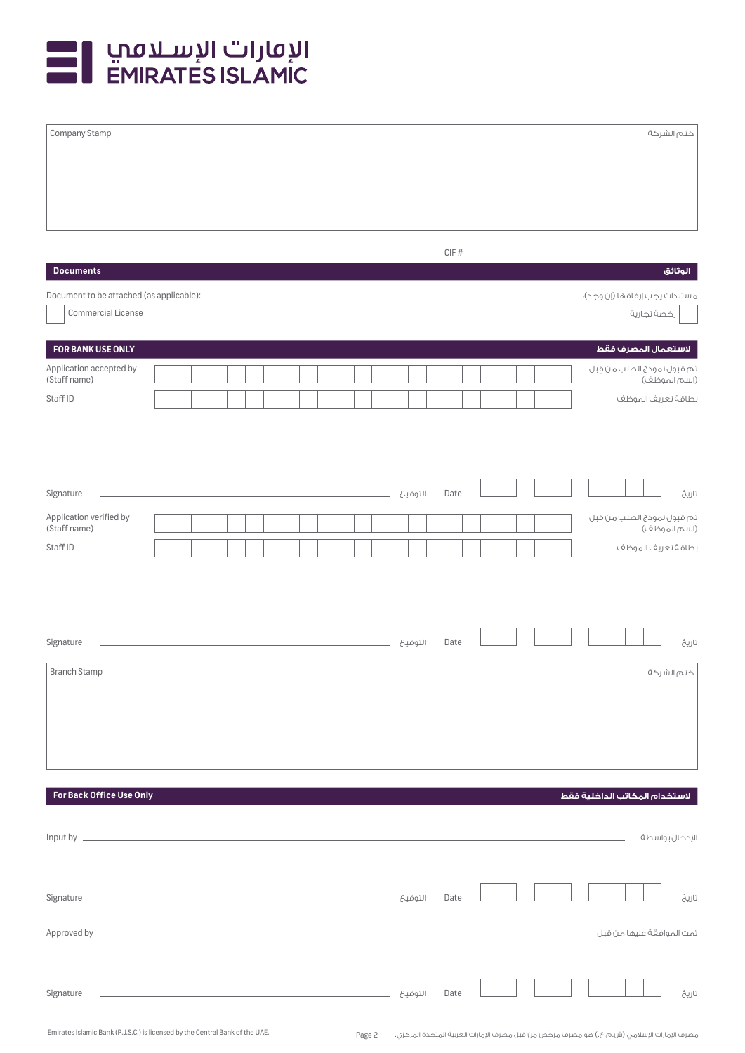

| Company Stamp                            |  |  |  |                                                                                                                        |  |  |  |         |                   |  |  |  |                               |             | ختم الشركة                                 |
|------------------------------------------|--|--|--|------------------------------------------------------------------------------------------------------------------------|--|--|--|---------|-------------------|--|--|--|-------------------------------|-------------|--------------------------------------------|
|                                          |  |  |  |                                                                                                                        |  |  |  |         |                   |  |  |  |                               |             |                                            |
| <b>Documents</b>                         |  |  |  |                                                                                                                        |  |  |  |         | $\mathsf{CIF}~\#$ |  |  |  |                               |             | الوثائق                                    |
| Document to be attached (as applicable): |  |  |  |                                                                                                                        |  |  |  |         |                   |  |  |  |                               |             | مستندات يجب إرفاقها (إن وجد)؛              |
| Commercial License                       |  |  |  |                                                                                                                        |  |  |  |         |                   |  |  |  |                               | رخصة تجارية |                                            |
| FOR BANK USE ONLY                        |  |  |  |                                                                                                                        |  |  |  |         |                   |  |  |  |                               |             | لاستعمال المصرف فقط                        |
| Application accepted by<br>(Staff name)  |  |  |  |                                                                                                                        |  |  |  |         |                   |  |  |  |                               |             | تم قبول نموذج الطلب من قبل<br>(اسم الموظف) |
| Staff ID                                 |  |  |  |                                                                                                                        |  |  |  |         |                   |  |  |  |                               |             | بطاقة تعريف الموظف                         |
| Signature                                |  |  |  |                                                                                                                        |  |  |  | التوقيح | Date              |  |  |  |                               |             | تاريخ                                      |
| Application verified by                  |  |  |  |                                                                                                                        |  |  |  |         |                   |  |  |  |                               |             | تم قبول نموذج الطلب من قبل                 |
| (Staff name)                             |  |  |  |                                                                                                                        |  |  |  |         |                   |  |  |  |                               |             | (اسم الموظف)                               |
| Staff ID                                 |  |  |  |                                                                                                                        |  |  |  |         |                   |  |  |  |                               |             | بطاقة تعريف الموظف                         |
| Signature<br><b>Branch Stamp</b>         |  |  |  |                                                                                                                        |  |  |  | التوقيح | Date              |  |  |  |                               |             | تاريخ<br>ختم الشركة                        |
| For Back Office Use Only                 |  |  |  |                                                                                                                        |  |  |  |         |                   |  |  |  | لاستخدام المكاتب الداخلية فقط |             |                                            |
|                                          |  |  |  |                                                                                                                        |  |  |  |         |                   |  |  |  |                               |             |                                            |
|                                          |  |  |  |                                                                                                                        |  |  |  |         |                   |  |  |  |                               |             | الإدخال بواسطة                             |
| Signature                                |  |  |  |                                                                                                                        |  |  |  |         | Date              |  |  |  |                               |             | تاريخ                                      |
|                                          |  |  |  |                                                                                                                        |  |  |  |         |                   |  |  |  |                               |             | تمت الموافقة عليها من قبل مستسمست          |
| Signature                                |  |  |  | <u> 1989 - Johann John Stone, mars et al. 1989 - John Stone, mars et al. 1989 - John Stone, mars et al. 1989 - Joh</u> |  |  |  | التوقيح | Date              |  |  |  |                               |             | تاريخ                                      |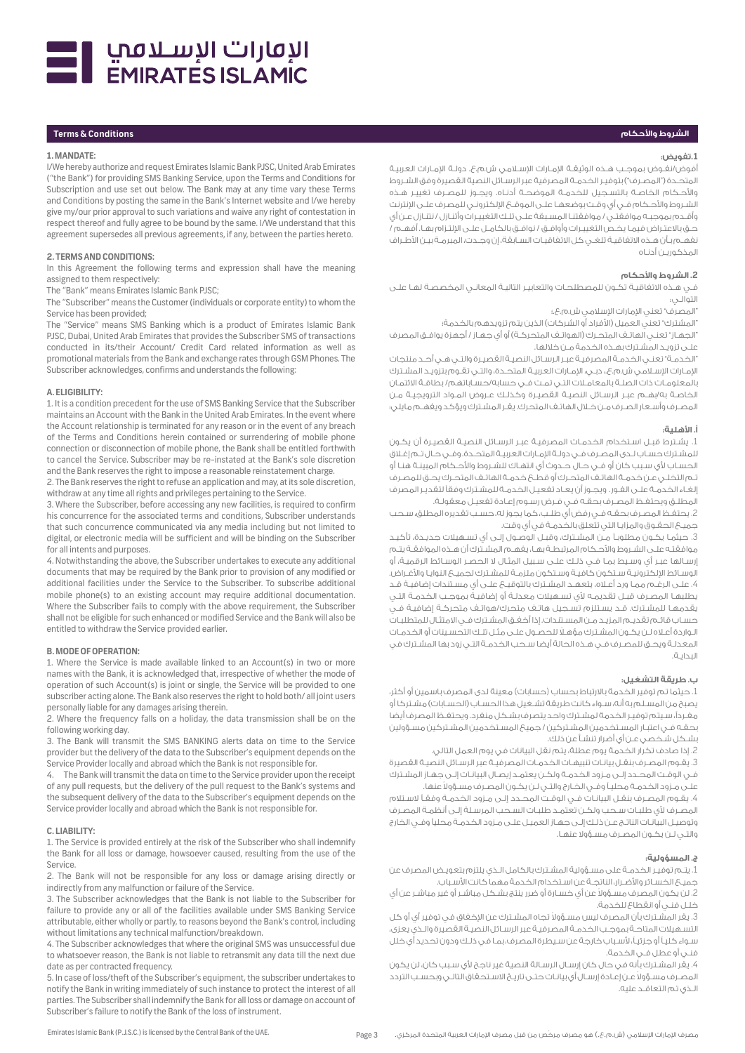

# **الشروط واألحكام Conditions & Terms**

#### **1. MANDATE:**

I/We hereby authorize and request Emirates Islamic Bank PJSC, United Arab Emirates ("the Bank") for providing SMS Banking Service, upon the Terms and Conditions for Subscription and use set out below. The Bank may at any time vary these Terms and Conditions by posting the same in the Bank's Internet website and I/we hereby give my/our prior approval to such variations and waive any right of contestation in respect thereof and fully agree to be bound by the same. I/We understand that this agreement supersedes all previous agreements, if any, between the parties hereto.

# **2. TERMS AND CONDITIONS:**

In this Agreement the following terms and expression shall have the meaning assigned to them respectively:

The "Bank" means Emirates Islamic Bank PJSC;

The "Subscriber" means the Customer (individuals or corporate entity) to whom the Service has been provided;

The "Service" means SMS Banking which is a product of Emirates Islamic Bank PJSC, Dubai, United Arab Emirates that provides the Subscriber SMS of transactions conducted in its/their Account/ Credit Card related information as well as promotional materials from the Bank and exchange rates through GSM Phones. The Subscriber acknowledges, confirms and understands the following:

#### **A. ELIGIBILITY:**

1. It is a condition precedent for the use of SMS Banking Service that the Subscriber maintains an Account with the Bank in the United Arab Emirates. In the event where the Account relationship is terminated for any reason or in the event of any breach of the Terms and Conditions herein contained or surrendering of mobile phone connection or disconnection of mobile phone, the Bank shall be entitled forthwith to cancel the Service. Subscriber may be re-instated at the Bank's sole discretion and the Bank reserves the right to impose a reasonable reinstatement charge.

2. The Bank reserves the right to refuse an application and may, at its sole discretion, withdraw at any time all rights and privileges pertaining to the Service.

3. Where the Subscriber, before accessing any new facilities, is required to confirm his concurrence for the associated terms and conditions, Subscriber understands that such concurrence communicated via any media including but not limited to digital, or electronic media will be sufficient and will be binding on the Subscriber for all intents and purposes.

4. Notwithstanding the above, the Subscriber undertakes to execute any additional documents that may be required by the Bank prior to provision of any modified or additional facilities under the Service to the Subscriber. To subscribe additional mobile phone(s) to an existing account may require additional documentation. Where the Subscriber fails to comply with the above requirement, the Subscriber shall not be eligible for such enhanced or modified Service and the Bank will also be entitled to withdraw the Service provided earlier.

# **B. MODE OF OPERATION:**

1. Where the Service is made available linked to an Account(s) in two or more names with the Bank, it is acknowledged that, irrespective of whether the mode of operation of such Account(s) is joint or single, the Service will be provided to one subscriber acting alone. The Bank also reserves the right to hold both/ all joint users personally liable for any damages arising therein.

2. Where the frequency falls on a holiday, the data transmission shall be on the following working day.

3. The Bank will transmit the SMS BANKING alerts data on time to the Service provider but the delivery of the data to the Subscriber's equipment depends on the Service Provider locally and abroad which the Bank is not responsible for.

4. The Bank will transmit the data on time to the Service provider upon the receipt of any pull requests, but the delivery of the pull request to the Bank's systems and the subsequent delivery of the data to the Subscriber's equipment depends on the Service provider locally and abroad which the Bank is not responsible for.

#### **C. LIABILITY:**

1. The Service is provided entirely at the risk of the Subscriber who shall indemnify the Bank for all loss or damage, howsoever caused, resulting from the use of the Service.

2. The Bank will not be responsible for any loss or damage arising directly or indirectly from any malfunction or failure of the Service.

3. The Subscriber acknowledges that the Bank is not liable to the Subscriber for failure to provide any or all of the facilities available under SMS Banking Service attributable, either wholly or partly, to reasons beyond the Bank's control, including without limitations any technical malfunction/breakdown.

4. The Subscriber acknowledges that where the original SMS was unsuccessful due to whatsoever reason, the Bank is not liable to retransmit any data till the next due date as per contracted frequency.

5. In case of loss/theft of the Subscriber's equipment, the subscriber undertakes to notify the Bank in writing immediately of such instance to protect the interest of all parties. The Subscriber shall indemnify the Bank for all loss or damage on account of Subscriber's failure to notify the Bank of the loss of instrument.

#### **.1تفويض:**

أفوض/نفـوض بموجـب هـذه الوثيقـة الإمـارات الإسـلامـى ش.م.ع. دولـة الإمـارات العربيـة المتحـدة ("المصـرف") بتوفيـر الخـدمـة المصرفية عبر الرسـائل النصية القصيرة وفق الشـروط واألحـكام الخاصـة بالتسـجيل للخدمـة الموضحـة أدنـاه. ويجـوز للمصـرف تغييـر هـذه الشـروط والأحـكام فـي أي وقـت بوضعهـا علـى الموقـع الإلكترونـي للمصرف علـى الإنترنت وأقـدم بموجبـه موافقتـي / موافقتنـا المسـبقة علـى تلـك التغييـرات وأتنـازل / نتنـازل عـن أي .<br>حـق بالاعتـراض فيمـا يخـص التغييـرات وأوافـق / نوافـق بالكامـل علـى الإلتـزام بهـا. أفهـم / نفهـم بـأن هـذه االتفاقيـة تلغـي كل االتفاقيـات السـابقة، إن وجـدت، المبرمـة بيـن األطـراف المذكوريـن أدنـاه

#### **.2 الشروط واألحكام**

فـي هـذه االتفاقيـة تكـون للمصطلحـات والتعابيـر التاليـة المعانـي المخصصـة لهـا علـى التوالـي:

'المصرف' تعني الإمارات الإسلامي ش.م.ع.؛

ّالمشترك" تعني العميل (الأفراد أو الشركات) الذين يتم تزويدهم بالخدمة؛ "الجهـاز" تعنـي الهاتـف المتحـرك (الهواتـف المتحركـة) أو أي جهـاز / أجهزة يوافـق المصرف علـى تزويـد المشـترك بهـذه الخدمة مـن خاللها.

"الخدمـة" تعنـي الخدمـة المصرفيـة عبـر الرسـائل النصيـة القصيـرة والتـي هـي أحـد منتجات اإلمـارات اإلسلامي ش.م.ع،. دبـي، اإلمـارات العربيـة المتحـدة، والتـي تقـوم بتزويـد المشـترك بالمعلومـات ذات الصلـة بالمعاملات التـي تمـت فـي حسابه/حسـاباتهم/ بطاقـة االئتمـان الخاصـة به/بهـم عبـر الرسـائل النصيـة القصيـرة وكذلـك عـروض المـواد الترويجيـة مـن المصـرف وأسـعار الصـرف مـن خلال الهاتـف المتحرك.يقـر المشـترك ويؤكد ويفهـم مايلي:

#### **أ. األهلية:**

.1 يشـترط قبـل اسـتخدام الخدمـات المصرفيـة عبـر الرسـائل النصيـة القصيـرة أن يكـون للمشـترك حسـاب لـدى المصـرف فـي دولـة اإلمـارات العربيـة المتحـدة. وفـي حـال تـم إغلاق الحسـاب ألي سـبب كان أو فـي حـال حـدوث أي انتهـاك للشـروط واألحـكام المبينـة هنـا أو تـم التخلـي عـن خدمـة الهاتـف المتحـرك أو قطـع خدمـة الهاتـف المتحـرك يحـق للمصـرف إلغـاء الخدمـة علـى الفـور. ويجـوز أن يعـاد تفعيـل الخدمـة للمشـترك وفقًا لتقديـر المصرف المطلـق ويحتفـظ المصـرف بحقـه فـي فـرض رسـوم إعـادة تفعيـل معقولـة.

.2 يحتفـظ المصـرف بحقـه فـي رفض أي طلـب، كما يجوز له، حسـب تقديره المطلق، سـحب جميـع الحقـوق والمزايـا التي تتعلق بالخدمـة في أي وقت.

.3 حيثمـا يكـون مطلوباً مـن المشـترك، وقبـل الوصـول إلـى أي تسـهيالت جديـدة، تأكيـد موافقتـه علـى الشـروط واألحـكام المرتبطـة بهـا، يفهـم المشـترك أن هـذه الموافقـة يتـم إرسـالها عبـر أي وسـيط بمـا فـي ذلـك علـى سـبيل المثـال ال الحصـر الوسـائط الرقميـة، أو -<br>الوسـائط الإلكترونيـة سـتكون كافيـة وسـتكون ملزمـة للمشـترك لجميـع النوايـا والأغـراض. .4 علـى الرغـم ممـا ورد أعلاه، يتعهـد المشـترك بالتوقيـع علـى أي مسـتندات إضافيـة قـد يطلبهـا المصـرف قبـل تقديمـه ألي تسـهيالت معدلـة أو إضافيـة بموجـب الخدمـة التـي .<br>يقدمهـا للمشـترك. قــد يسـتلزم تسـجيل هاتـف متحـرك/هواتـف متحـركــة إضافيــة فــي حسـاب قائـم تقديـم المزيـد مـن المسـتندات. إذا أخفـق المشـترك فـي االمتثـال للمتطلبـات الـواردة أعـلاه لـن يكـون المشـترك مؤهـلًا للحصـول علـى مثـل تلـك التحسـينات أو الخدمـات المعدلـة ويحـق للمصـرف فـي هـذه الحالة أيضا سـحب الخدمـة التـي زود بها المشـترك في البدايـة.

# **ب. طريقة التشغيل:**

1. حيثما تم توفير الخدمة بالارتباط بحساب (حسابات) معينة لدى المصرف باسمين أو أكثر، يصبح من المسـلم به أنه، سـواء كانت طريقة تشـغيل هذا الحسـاب )الحسـابات( مشـتركا أو مفـردًا، سـيتم توفيـر الخدمة لمشـترك واحد يتصرف بشـكل منفرد. ويحتفـظ المصرف أيضا بحقـه فـي اعتبـار المسـتخدمين المشـتركين / جميع المسـتخدمين المشـتركين مسـؤولين بشـكل شـخصي عـن أي أضرار تنشـأ عن ذلك.

.2 إذا صادف تكرار الخدمة يوم عطلة، يتم نقل البيانات في يوم العمل التالي.

.3 يقـوم المصـرف بنقـل بيانـات تنبيهـات الخدمـات المصرفيـة عبرالرسـائل النصيـة القصيرة فـي الوقـت المحـدد إلـى مـزود الخدمـة ولكـن يعتمـد إيصـال البيانـات إلـى جهـاز المشـترك علـى مـزود الخدمـة محلياً ً وفـي الخـارج والتـي لـن يكـون المصـرف مسـؤوال عنها.

.4 يقـوم المصـرف بنقـل البيانـات فـي الوقـت المحـدد إلـى مـزود الخدمـة وفقاً السـتالم المصـرف ألي طلبـات سـحب ولكـن تعتمـد طلبـات السـحب المرسـلة إلـى أنظمـة المصـرف وتوصيـل البيانـات الناتـج عـن ذلـك إلـى جهـاز العميـل علـى مـزود الخدمـة محليًا وفـي الخارج والتـي لـن يكـون المصـرف مسـؤوال عنهـا.

## **ج. المسؤولية:**

.1 يتـم توفيـرالخدمـة على مسـؤولية المشـترك بالكامل الـذي يلتزم بتعويـضالمصرف عن .<br>جميــع الخسـائر والأضـرار، الناتجـة عن اسـتخـدام الخـدمة مهماً كانت الأسـباب.

2. لن يكون المصرف مسـؤولاً عن أي خسـارة أو ضرر ينتج بشـكل مباشـر أو غير مباشـر عن أي خلـل فنـي أو انقطاع للخدمة.

.<br>3. يقر المشـترك بأن المصرف ليس مسـؤولاً تجاه المشـترك عن الإخفاق في توفير أي أو كل التسـهيالت المتاحـة بموجـب الخدمـة المصرفيـة عبر الرسـائل النصيـة القصيرة والـذي يعزى، سـواء كلياً أو جزئيا،ً ألسـباب خارجة عن سـيطرة المصرف، بمـا في ذلـك ودون تحديد أي خلل فنـي أو عطل فـي الخدمة.

4. يقَر المشـترك بأنه في حال كان إرسـال الرسـالة النصية غير ناجح لأي سـبب كان، لن يكون ً المصـرف مسـؤوال عـن إعـادة إرسـال أي بيانـات حتـى تاريـخ االسـتحقاق التالـي وبحسـب التردد الـذي تم التعاقـد عليه.